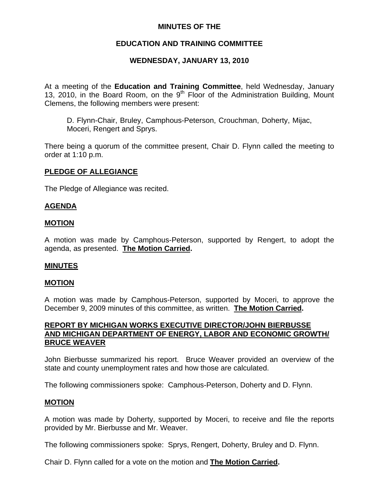## **MINUTES OF THE**

# **EDUCATION AND TRAINING COMMITTEE**

# **WEDNESDAY, JANUARY 13, 2010**

At a meeting of the **Education and Training Committee**, held Wednesday, January 13, 2010, in the Board Room, on the  $9<sup>th</sup>$  Floor of the Administration Building, Mount Clemens, the following members were present:

D. Flynn-Chair, Bruley, Camphous-Peterson, Crouchman, Doherty, Mijac, Moceri, Rengert and Sprys.

There being a quorum of the committee present, Chair D. Flynn called the meeting to order at 1:10 p.m.

## **PLEDGE OF ALLEGIANCE**

The Pledge of Allegiance was recited.

## **AGENDA**

## **MOTION**

A motion was made by Camphous-Peterson, supported by Rengert, to adopt the agenda, as presented. **The Motion Carried.** 

#### **MINUTES**

#### **MOTION**

A motion was made by Camphous-Peterson, supported by Moceri, to approve the December 9, 2009 minutes of this committee, as written. **The Motion Carried.** 

## **REPORT BY MICHIGAN WORKS EXECUTIVE DIRECTOR/JOHN BIERBUSSE AND MICHIGAN DEPARTMENT OF ENERGY, LABOR AND ECONOMIC GROWTH/ BRUCE WEAVER**

John Bierbusse summarized his report. Bruce Weaver provided an overview of the state and county unemployment rates and how those are calculated.

The following commissioners spoke: Camphous-Peterson, Doherty and D. Flynn.

#### **MOTION**

A motion was made by Doherty, supported by Moceri, to receive and file the reports provided by Mr. Bierbusse and Mr. Weaver.

The following commissioners spoke: Sprys, Rengert, Doherty, Bruley and D. Flynn.

Chair D. Flynn called for a vote on the motion and **The Motion Carried.**